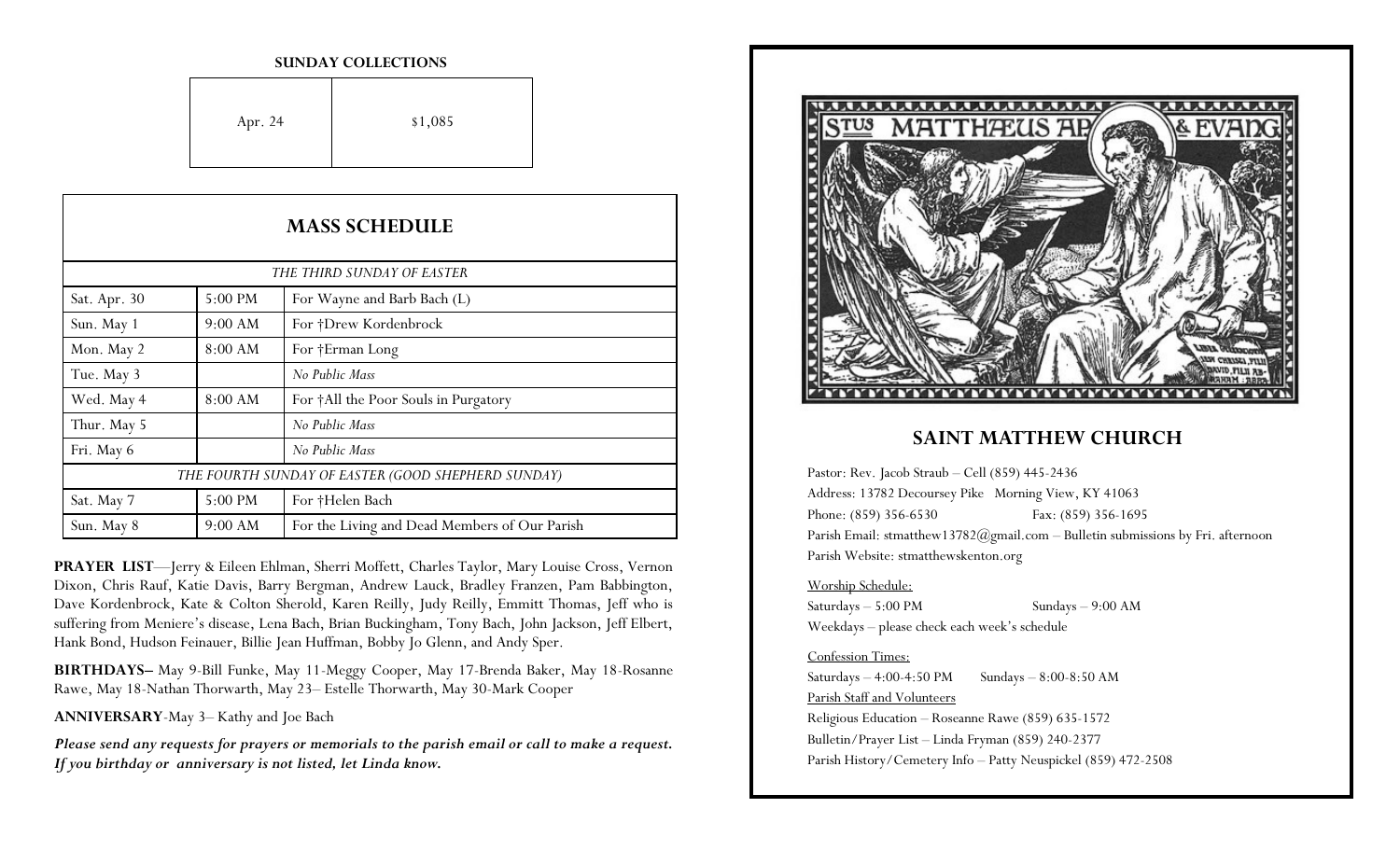#### **SUNDAY COLLECTIONS**

| Apr. 24<br>\$1,085 |  |  |
|--------------------|--|--|
|--------------------|--|--|

| <b>MASS SCHEDULE</b>                               |                   |                                               |
|----------------------------------------------------|-------------------|-----------------------------------------------|
| THE THIRD SUNDAY OF EASTER                         |                   |                                               |
| Sat. Apr. 30                                       | $5:00$ PM         | For Wayne and Barb Bach (L)                   |
| Sun. May 1                                         | 9:00 AM           | For †Drew Kordenbrock                         |
| Mon. May 2                                         | $8:00$ AM         | For †Erman Long                               |
| Tue. May 3                                         |                   | No Public Mass                                |
| Wed. May 4                                         | $8:00$ AM         | For †All the Poor Souls in Purgatory          |
| Thur. May 5                                        |                   | No Public Mass                                |
| Fri. May 6                                         |                   | No Public Mass                                |
| THE FOURTH SUNDAY OF EASTER (GOOD SHEPHERD SUNDAY) |                   |                                               |
| Sat. May 7                                         | $5:00 \text{ PM}$ | For †Helen Bach                               |
| Sun. May 8                                         | 9:00 AM           | For the Living and Dead Members of Our Parish |

**PRAYER LIST**—Jerry & Eileen Ehlman, Sherri Moffett, Charles Taylor, Mary Louise Cross, Vernon Dixon, Chris Rauf, Katie Davis, Barry Bergman, Andrew Lauck, Bradley Franzen, Pam Babbington, Dave Kordenbrock, Kate & Colton Sherold, Karen Reilly, Judy Reilly, Emmitt Thomas, Jeff who is suffering from Meniere's disease, Lena Bach, Brian Buckingham, Tony Bach, John Jackson, Jeff Elbert, Hank Bond, Hudson Feinauer, Billie Jean Huffman, Bobby Jo Glenn, and Andy Sper.

**BIRTHDAYS–** May 9-Bill Funke, May 11-Meggy Cooper, May 17-Brenda Baker, May 18-Rosanne Rawe, May 18-Nathan Thorwarth, May 23– Estelle Thorwarth, May 30-Mark Cooper

**ANNIVERSARY**-May 3– Kathy and Joe Bach

*Please send any requests for prayers or memorials to the parish email or call to make a request. If you birthday or anniversary is not listed, let Linda know.*



## **SAINT MATTHEW CHURCH**

Pastor: Rev. Jacob Straub – Cell (859) 445-2436 Address: 13782 Decoursey Pike Morning View, KY 41063 Phone: (859) 356-6530 Fax: (859) 356-1695 Parish Email: stmatthew13782@gmail.com – Bulletin submissions by Fri. afternoon Parish Website: stmatthewskenton.org

#### Worship Schedule:

Saturdays – 5:00 PM Sundays – 9:00 AM Weekdays – please check each week's schedule

#### Confession Times:

Saturdays  $-4:00-4:50 \text{ PM}$  Sundays  $-8:00-8:50 \text{ AM}$ Parish Staff and Volunteers Religious Education – Roseanne Rawe (859) 635-1572 Bulletin/Prayer List – Linda Fryman (859) 240-2377 Parish History/Cemetery Info – Patty Neuspickel (859) 472-2508